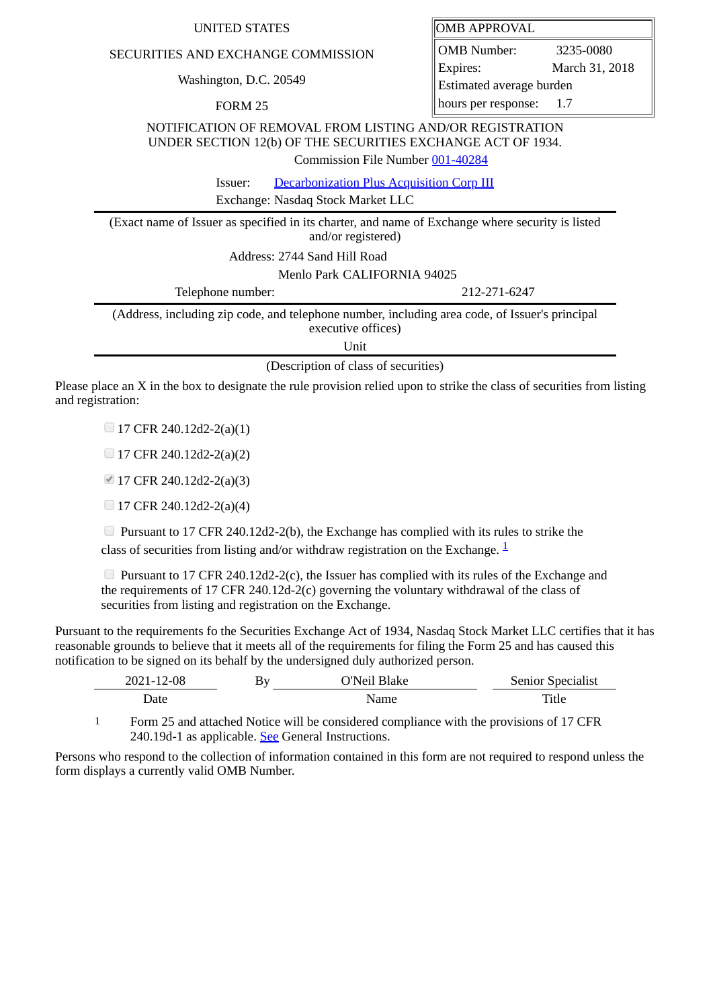| SECURITIES AND EXCHANGE COMMISSION                                                                                                                          | <b>OMB</b> Number:         | 3235-0080      |  |  |
|-------------------------------------------------------------------------------------------------------------------------------------------------------------|----------------------------|----------------|--|--|
| Washington, D.C. 20549                                                                                                                                      | Expires:                   | March 31, 2018 |  |  |
|                                                                                                                                                             | Estimated average burden   |                |  |  |
| <b>FORM 25</b>                                                                                                                                              | hours per response:<br>1.7 |                |  |  |
| NOTIFICATION OF REMOVAL FROM LISTING AND/OR REGISTRATION<br>UNDER SECTION 12(b) OF THE SECURITIES EXCHANGE ACT OF 1934.<br>Commission File Number 001-40284 |                            |                |  |  |
| <b>Decarbonization Plus Acquisition Corp III</b><br>Issuer:                                                                                                 |                            |                |  |  |
| Exchange: Nasdaq Stock Market LLC                                                                                                                           |                            |                |  |  |
| (Exact name of Issuer as specified in its charter, and name of Exchange where security is listed<br>and/or registered)                                      |                            |                |  |  |
| Address: 2744 Sand Hill Road                                                                                                                                |                            |                |  |  |
| Menlo Park CALIFORNIA 94025                                                                                                                                 |                            |                |  |  |
| Telephone number:                                                                                                                                           | 212-271-6247               |                |  |  |
| (Address, including zip code, and telephone number, including area code, of Issuer's principal<br>executive offices)                                        |                            |                |  |  |

UNITED STATES **OMB APPROVAL** 

Unit

(Description of class of securities)

Please place an X in the box to designate the rule provision relied upon to strike the class of securities from listing and registration:

 $\Box$  17 CFR 240.12d2-2(a)(1)

17 CFR 240.12d2-2(a)(2)

17 CFR 240.12d2-2(a)(3)

 $\Box$  17 CFR 240.12d2-2(a)(4)

 $\Box$  Pursuant to 17 CFR 240.12d2-2(b), the Exchange has complied with its rules to strike the class of securities from listing and/or withdraw registration on the Exchange.  $\frac{1}{2}$  $\frac{1}{2}$  $\frac{1}{2}$ 

 $\Box$  Pursuant to 17 CFR 240.12d2-2(c), the Issuer has complied with its rules of the Exchange and the requirements of 17 CFR 240.12d-2(c) governing the voluntary withdrawal of the class of securities from listing and registration on the Exchange.

Pursuant to the requirements fo the Securities Exchange Act of 1934, Nasdaq Stock Market LLC certifies that it has reasonable grounds to believe that it meets all of the requirements for filing the Form 25 and has caused this notification to be signed on its behalf by the undersigned duly authorized person.

| 2021-12-08 | Bv | $N$ ail r<br>Blake | <b>Senior Specialist</b> |
|------------|----|--------------------|--------------------------|
| Jate       |    |                    | Title                    |

<span id="page-0-0"></span>1 Form 25 and attached Notice will be considered compliance with the provisions of 17 CFR 240.19d-1 as applicable. See General Instructions.

Persons who respond to the collection of information contained in this form are not required to respond unless the form displays a currently valid OMB Number.